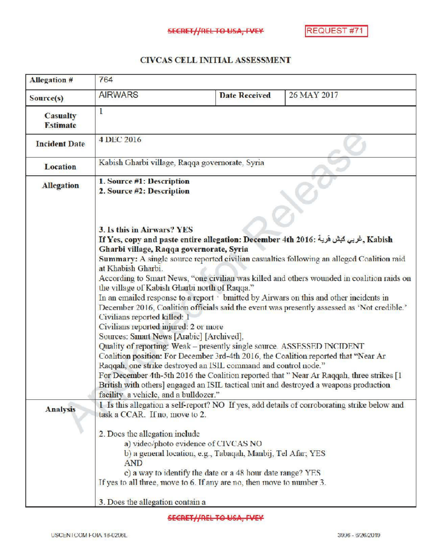## CIVCAS CELL INITIAL ASSESSMENT

| <b>Allegation #</b>                  | 764                                                                                                                                                                                                                                                                                                                                                                                                                                                                                                                                                                                                                                                                                                                                                                                                                                                                                                                                                                                                                                                                                                                                                                                                                                                                                                                                                                                                                                                  |                      |             |
|--------------------------------------|------------------------------------------------------------------------------------------------------------------------------------------------------------------------------------------------------------------------------------------------------------------------------------------------------------------------------------------------------------------------------------------------------------------------------------------------------------------------------------------------------------------------------------------------------------------------------------------------------------------------------------------------------------------------------------------------------------------------------------------------------------------------------------------------------------------------------------------------------------------------------------------------------------------------------------------------------------------------------------------------------------------------------------------------------------------------------------------------------------------------------------------------------------------------------------------------------------------------------------------------------------------------------------------------------------------------------------------------------------------------------------------------------------------------------------------------------|----------------------|-------------|
| Source(s)                            | <b>AIRWARS</b>                                                                                                                                                                                                                                                                                                                                                                                                                                                                                                                                                                                                                                                                                                                                                                                                                                                                                                                                                                                                                                                                                                                                                                                                                                                                                                                                                                                                                                       | <b>Date Received</b> | 26 MAY 2017 |
| <b>Casualty</b><br><b>Estimate</b>   | 1                                                                                                                                                                                                                                                                                                                                                                                                                                                                                                                                                                                                                                                                                                                                                                                                                                                                                                                                                                                                                                                                                                                                                                                                                                                                                                                                                                                                                                                    |                      |             |
| <b>Incident Date</b>                 | <b>4 DEC 2016</b>                                                                                                                                                                                                                                                                                                                                                                                                                                                                                                                                                                                                                                                                                                                                                                                                                                                                                                                                                                                                                                                                                                                                                                                                                                                                                                                                                                                                                                    |                      |             |
| <b>Location</b>                      | Kabish Gharbi village, Raqqa governorate, Syria                                                                                                                                                                                                                                                                                                                                                                                                                                                                                                                                                                                                                                                                                                                                                                                                                                                                                                                                                                                                                                                                                                                                                                                                                                                                                                                                                                                                      |                      |             |
| <b>Allegation</b><br><b>Analysis</b> | 1. Source #1: Description<br>2. Source #2: Description<br><b>3. Is this in Airwars? YES</b><br>Kabish فربي كبش فرية : If Yes, copy and paste entire allegation: December 4th 2016<br>Gharbi village, Raqqa governorate, Syria<br>Summary: A single source reported civilian casualties following an alleged Coalition raid<br>at Khabish Gharbi.<br>According to Smart News, "one civilian was killed and others wounded in coalition raids on<br>the village of Kabish Gharbi north of Raqqa."<br>In an emailed response to a report : bmitted by Airwars on this and other incidents in<br>December 2016, Coalition officials said the event was presently assessed as 'Not credible.'<br>Civilians reported killed: 1<br>Civilians reported injured: 2 or more<br>Sources: Smart News [Arabic] [Archived],<br>Quality of reporting: Weak - presently single source. ASSESSED INCIDENT<br>Coalition position: For December 3rd-4th 2016, the Coalition reported that "Near Ar<br>Raqqah, one strike destroyed an ISIL command and control node."<br>For December 4th-5th 2016 the Coalition reported that "Near Ar Raqqah, three strikes [1]<br>British with others] engaged an ISIL tactical unit and destroyed a weapons production<br>facility a vehicle, and a bulldozer."<br>1 Is this allegation a self-report? NO If yes, add details of corroborating strike below and<br>task a CCAR. If no, move to 2.<br>2. Does the allegation include |                      |             |
|                                      | a) video/photo evidence of CIVCAS NO<br>b) a general location, e.g., Tabaqah, Manbij, Tel Afar; YES<br><b>AND</b><br>c) a way to identify the date or a 48 hour date range? YES<br>If yes to all three, move to 6. If any are no, then move to number 3.<br>3. Does the allegation contain a                                                                                                                                                                                                                                                                                                                                                                                                                                                                                                                                                                                                                                                                                                                                                                                                                                                                                                                                                                                                                                                                                                                                                         |                      |             |

**SECRET//REL TO USA, FVEY**